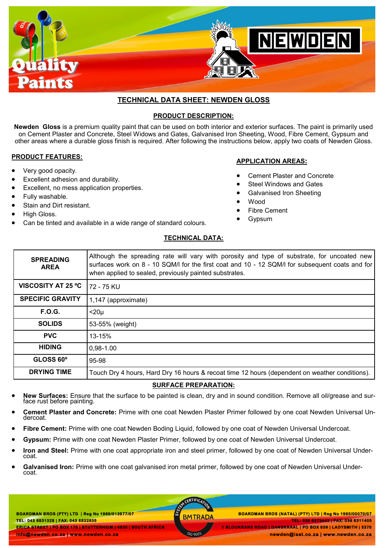

# **TECHNICAL DATA SHEET: NEWDEN GLOSS**

## **PRODUCT DESCRIPTION:**

**Newden Gloss** is a premium quality paint that can be used on both interior and exterior surfaces. The paint is primarily used on Cement Plaster and Concrete, Steel Widows and Gates, Galvanised Iron Sheeting, Wood, Fibre Cement, Gypsum and other areas where a durable gloss finish is required. After following the instructions below, apply two coats of Newden Gloss.

## **PRODUCT FEATURES:**

- Very good opacity.
- Excellent adhesion and durability.
- Excellent, no mess application properties.
- Fully washable.
- Stain and Dirt resistant.
- High Gloss.
- Can be tinted and available in a wide range of standard colours.

## **APPLICATION AREAS:**

- Cement Plaster and Concrete
- Steel Windows and Gates
- Galvanised Iron Sheeting
- Wood
- Fibre Cement
- Gypsum

## **TECHNICAL DATA:**

| <b>SPREADING</b><br><b>AREA</b> | Although the spreading rate will vary with porosity and type of substrate, for uncoated new<br>surfaces work on 8 - 10 SQM/I for the first coat and 10 - 12 SQM/I for subsequent coats and for<br>when applied to sealed, previously painted substrates. |
|---------------------------------|----------------------------------------------------------------------------------------------------------------------------------------------------------------------------------------------------------------------------------------------------------|
| <b>VISCOSITY AT 25 °C</b>       | 72 - 75 KU                                                                                                                                                                                                                                               |
| <b>SPECIFIC GRAVITY</b>         | 1,147 (approximate)                                                                                                                                                                                                                                      |
| <b>F.O.G.</b>                   | $<$ 20 $\mu$                                                                                                                                                                                                                                             |
| <b>SOLIDS</b>                   | 53-55% (weight)                                                                                                                                                                                                                                          |
| <b>PVC</b>                      | 13-15%                                                                                                                                                                                                                                                   |
| <b>HIDING</b>                   | $0.98 - 1.00$                                                                                                                                                                                                                                            |
| GLOSS 60°                       | 95-98                                                                                                                                                                                                                                                    |
| <b>DRYING TIME</b>              | Touch Dry 4 hours, Hard Dry 16 hours & recoat time 12 hours (dependent on weather conditions).                                                                                                                                                           |

## **SURFACE PREPARATION:**

- **New Surfaces:** Ensure that the surface to be painted is clean, dry and in sound condition. Remove all oil/grease and surface rust before painting.
- **Cement Plaster and Concrete:** Prime with one coat Newden Plaster Primer followed by one coat Newden Universal Undercoat.
- **Fibre Cement:** Prime with one coat Newden Boding Liquid, followed by one coat of Newden Universal Undercoat.
- **Gypsum:** Prime with one coat Newden Plaster Primer, followed by one coat of Newden Universal Undercoat.
- **Iron and Steel:** Prime with one coat appropriate iron and steel primer, followed by one coat of Newden Universal Undercoat.
- **Galvanised Iron:** Prime with one coat galvanised iron metal primer, followed by one coat of Newden Universal Undercoat.

**BOARDMAN BROS (PTY) LTD | Reg No 1969/013977/07 TEL: 043 6831328 | FAX: 043 6832835 ERICA STREET | PO BOX 175 | STUTTERHEIM | 4930 | SOUTH AFRICA info@newden.co.za | www.newden.co.za** 

CERTIFICAT

 **BOARDMAN BROS (PTY) LTD | Reg No 1969/013977/07 BOARDMAN BROS (NATAL) (PTY) LTD | Reg No 1985/00070/07 TEL: 036 6373443 | FAX: 036 6311405 1 BLOUKRANS ROAD | DANSKRAAL | PO BOX 939 | LADYSMITH | 3370** 

 **newden@isat.co.za | www.newden.co.za**